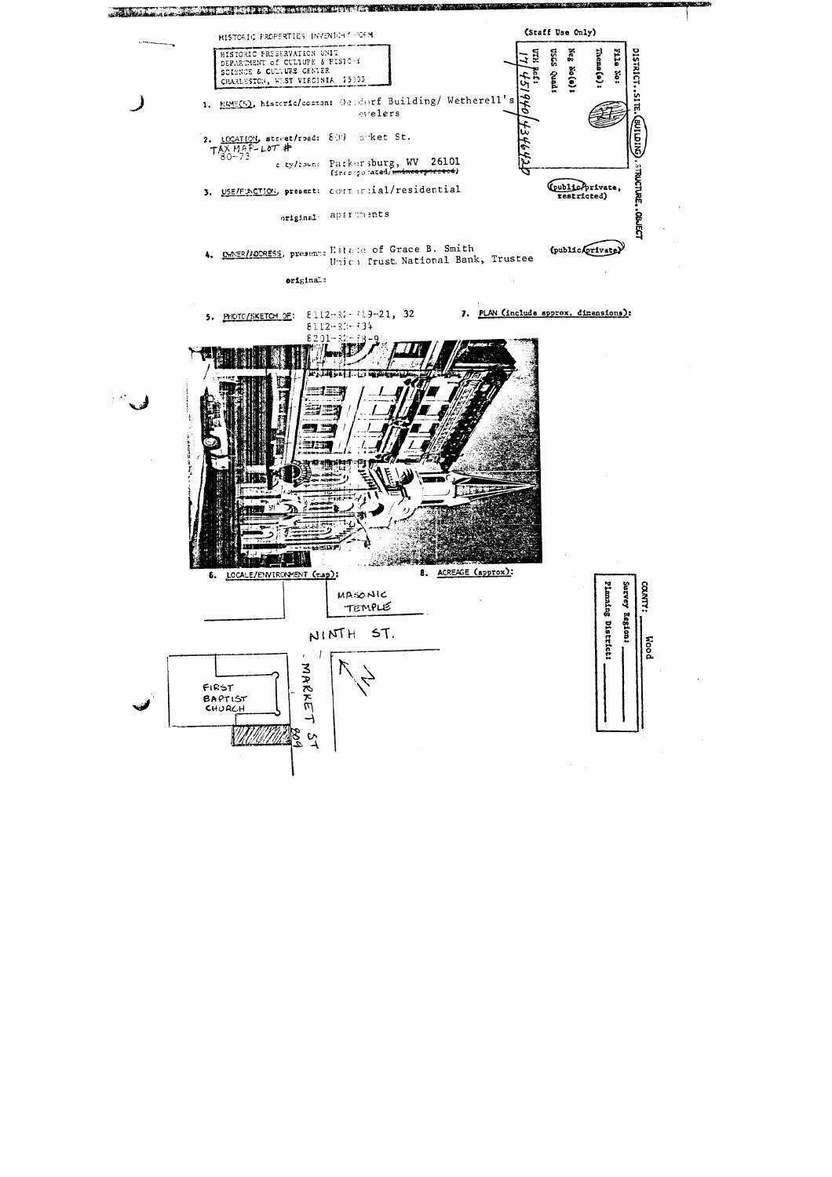

**CORN**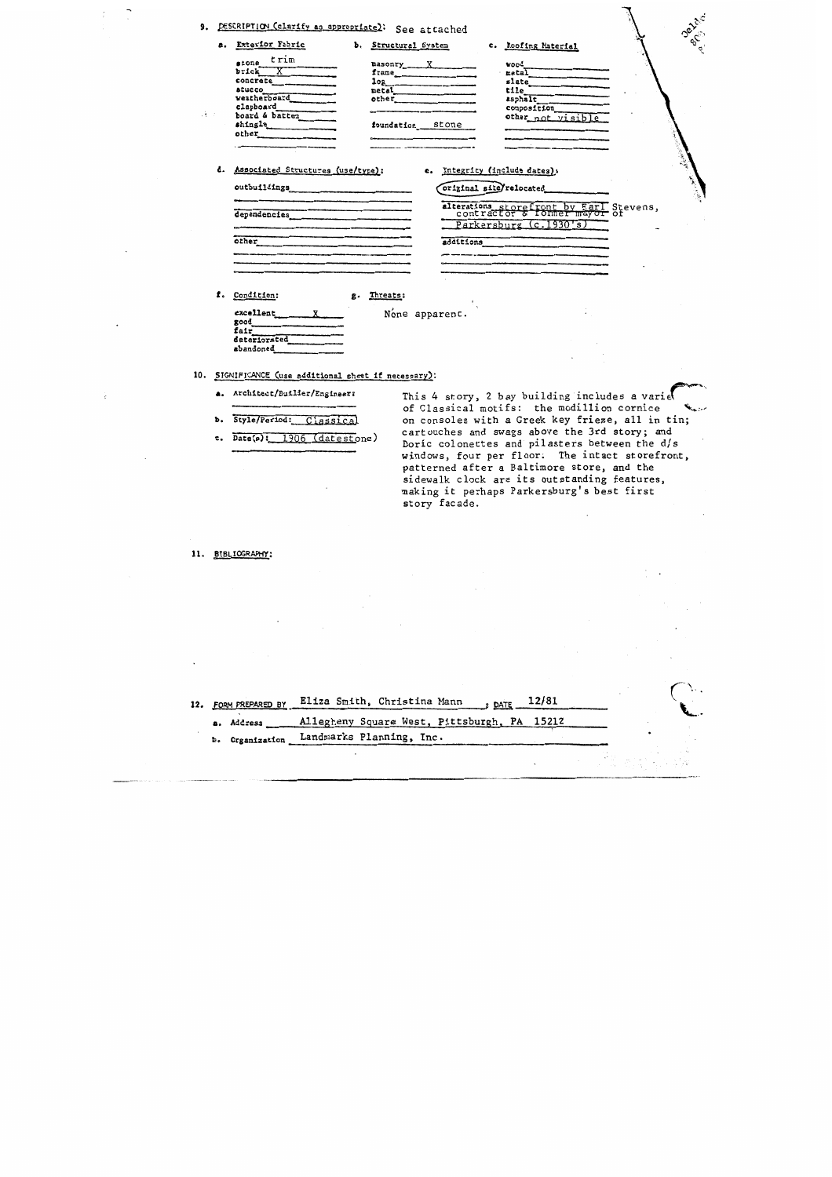## 9. DESC

| Exterior Fabric | ъ. | Structural System |       | c. Roofing Material |
|-----------------|----|-------------------|-------|---------------------|
| trim<br>stone   |    | masonry           |       | wood                |
| brick           |    | frame             |       | metal               |
| concrete        |    | log               |       | slate               |
| <b>BEUCCO</b>   |    | metal             |       | tile                |
| veatherboard    |    | other             |       | asphalt             |
| clapboard       |    |                   |       | composition         |
| board & batten  |    |                   |       | other not visible   |
| shingle         |    | foundation        | stone |                     |
| other           |    |                   |       |                     |

d. Associated Structures (use/type):

a.

 $\mathcal{A} \rightarrow \mathcal{A}$ 

## e. Integrity (include dates):

## original site/relocated

alterations storefront by Earl Stevens,<br>contractor & former mayor of Parkersburg (c.1930's) additions

Depth<sup>2</sup>

f. Condition:

outbuildings

dependencies

 $other$ 

excellent

deteriorated abandoned

good<br>fair

None apparent.

g. Threats:

10. SIGNIFICANCE (use additional sheet if necessary):

- a. Architect/Builder/Engineer:
- b. Style/Period: Classical
- c. Date(s): 1906 (datestone)

This 4 story, 2 bay building includes a varie of Classical motifs: the modillion cornice on consoles with a Greek key frieze, all in tin; cartouches and swags above the 3rd story; and Doric colonettes and pilasters between the d/s windows, four per floor. The intact storefront, patterned after a Baltimore store, and the sidewalk clock are its outstanding features, making it perhaps Parkersburg's best first story facade.

11. BIBLIOGRAPHY:

| FORM PREPARED BY<br>12. | $_{\text{DATE}}$ 12/81<br>Eliza Smith, Christina Mann |  |
|-------------------------|-------------------------------------------------------|--|
| a. Address              | Allegheny Square West, Pittsburgh, PA 15212           |  |
|                         | b. Organization Landmarks Planning, Inc.              |  |